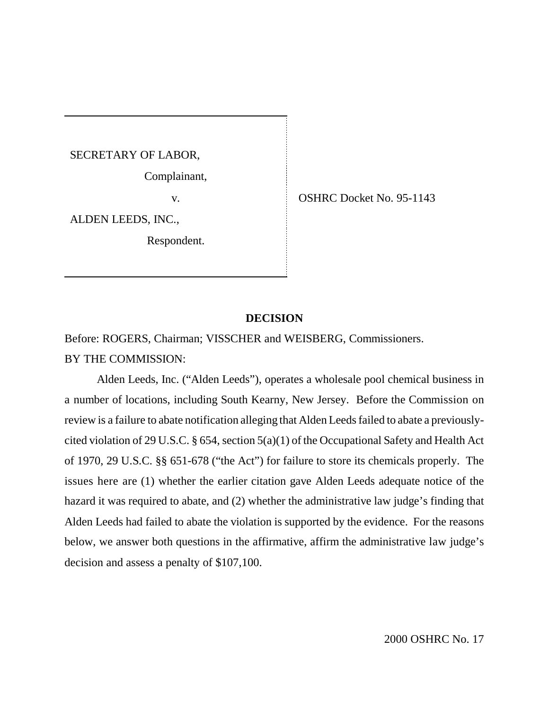SECRETARY OF LABOR,

Complainant,

ALDEN LEEDS, INC.,

Respondent.

v. CSHRC Docket No. 95-1143

### **DECISION**

Before: ROGERS, Chairman; VISSCHER and WEISBERG, Commissioners.

BY THE COMMISSION:

Alden Leeds, Inc. ("Alden Leeds"), operates a wholesale pool chemical business in a number of locations, including South Kearny, New Jersey. Before the Commission on review is a failure to abate notification alleging that Alden Leeds failed to abate a previouslycited violation of 29 U.S.C. § 654, section 5(a)(1) of the Occupational Safety and Health Act of 1970, 29 U.S.C. §§ 651-678 ("the Act") for failure to store its chemicals properly. The issues here are (1) whether the earlier citation gave Alden Leeds adequate notice of the hazard it was required to abate, and (2) whether the administrative law judge's finding that Alden Leeds had failed to abate the violation is supported by the evidence. For the reasons below, we answer both questions in the affirmative, affirm the administrative law judge's decision and assess a penalty of \$107,100.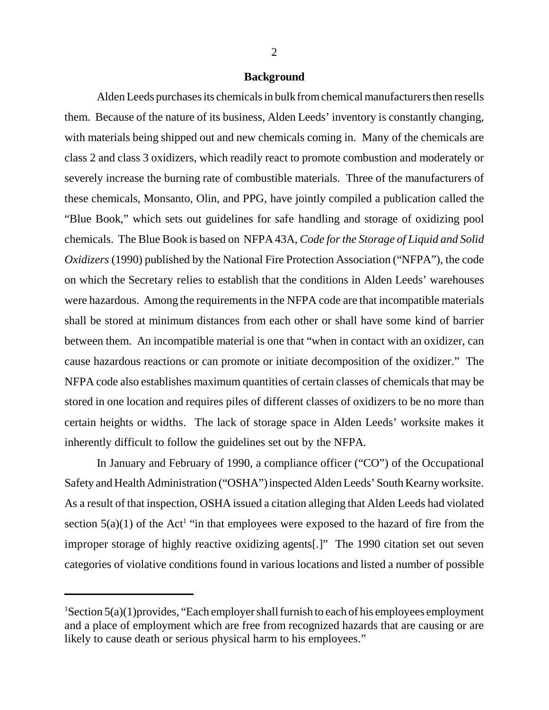### **Background**

Alden Leeds purchases its chemicals in bulk from chemical manufacturers then resells them. Because of the nature of its business, Alden Leeds' inventory is constantly changing, with materials being shipped out and new chemicals coming in. Many of the chemicals are class 2 and class 3 oxidizers, which readily react to promote combustion and moderately or severely increase the burning rate of combustible materials. Three of the manufacturers of these chemicals, Monsanto, Olin, and PPG, have jointly compiled a publication called the "Blue Book," which sets out guidelines for safe handling and storage of oxidizing pool chemicals. The Blue Book is based on NFPA 43A, *Code for the Storage of Liquid and Solid Oxidizers* (1990) published by the National Fire Protection Association ("NFPA"), the code on which the Secretary relies to establish that the conditions in Alden Leeds' warehouses were hazardous. Among the requirements in the NFPA code are that incompatible materials shall be stored at minimum distances from each other or shall have some kind of barrier between them. An incompatible material is one that "when in contact with an oxidizer, can cause hazardous reactions or can promote or initiate decomposition of the oxidizer." The NFPA code also establishes maximum quantities of certain classes of chemicals that may be stored in one location and requires piles of different classes of oxidizers to be no more than certain heights or widths. The lack of storage space in Alden Leeds' worksite makes it inherently difficult to follow the guidelines set out by the NFPA.

In January and February of 1990, a compliance officer ("CO") of the Occupational Safety and Health Administration ("OSHA") inspected Alden Leeds' South Kearny worksite. As a result of that inspection, OSHA issued a citation alleging that Alden Leeds had violated section  $5(a)(1)$  of the Act<sup>1</sup> "in that employees were exposed to the hazard of fire from the improper storage of highly reactive oxidizing agents[.]" The 1990 citation set out seven categories of violative conditions found in various locations and listed a number of possible

 ${}^{1}$ Section 5(a)(1)provides, "Each employer shall furnish to each of his employees employment and a place of employment which are free from recognized hazards that are causing or are likely to cause death or serious physical harm to his employees."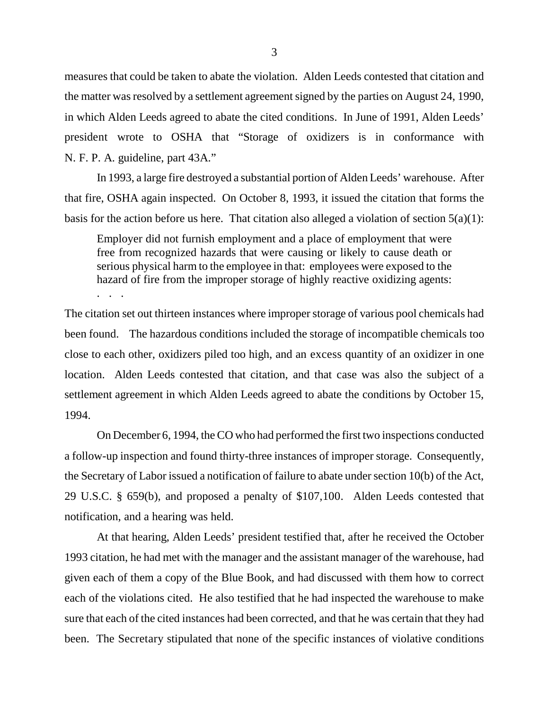measures that could be taken to abate the violation. Alden Leeds contested that citation and the matter was resolved by a settlement agreement signed by the parties on August 24, 1990, in which Alden Leeds agreed to abate the cited conditions. In June of 1991, Alden Leeds' president wrote to OSHA that "Storage of oxidizers is in conformance with N. F. P. A. guideline, part 43A."

In 1993, a large fire destroyed a substantial portion of Alden Leeds' warehouse. After that fire, OSHA again inspected. On October 8, 1993, it issued the citation that forms the basis for the action before us here. That citation also alleged a violation of section  $5(a)(1)$ :

Employer did not furnish employment and a place of employment that were free from recognized hazards that were causing or likely to cause death or serious physical harm to the employee in that: employees were exposed to the hazard of fire from the improper storage of highly reactive oxidizing agents: . . .

The citation set out thirteen instances where improper storage of various pool chemicals had been found. The hazardous conditions included the storage of incompatible chemicals too close to each other, oxidizers piled too high, and an excess quantity of an oxidizer in one location. Alden Leeds contested that citation, and that case was also the subject of a settlement agreement in which Alden Leeds agreed to abate the conditions by October 15, 1994.

On December 6, 1994, the CO who had performed the first two inspections conducted a follow-up inspection and found thirty-three instances of improper storage. Consequently, the Secretary of Labor issued a notification of failure to abate under section 10(b) of the Act, 29 U.S.C. § 659(b), and proposed a penalty of \$107,100. Alden Leeds contested that notification, and a hearing was held.

At that hearing, Alden Leeds' president testified that, after he received the October 1993 citation, he had met with the manager and the assistant manager of the warehouse, had given each of them a copy of the Blue Book, and had discussed with them how to correct each of the violations cited. He also testified that he had inspected the warehouse to make sure that each of the cited instances had been corrected, and that he was certain that they had been. The Secretary stipulated that none of the specific instances of violative conditions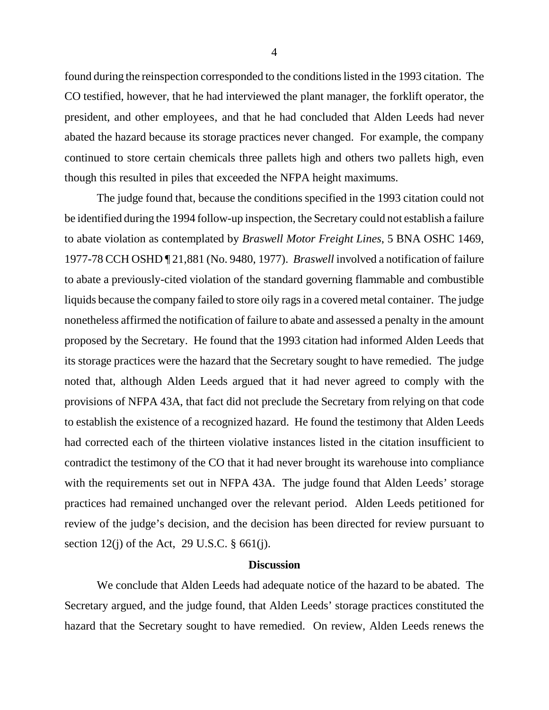found during the reinspection corresponded to the conditions listed in the 1993 citation. The CO testified, however, that he had interviewed the plant manager, the forklift operator, the president, and other employees, and that he had concluded that Alden Leeds had never abated the hazard because its storage practices never changed. For example, the company continued to store certain chemicals three pallets high and others two pallets high, even though this resulted in piles that exceeded the NFPA height maximums.

The judge found that, because the conditions specified in the 1993 citation could not be identified during the 1994 follow-up inspection, the Secretary could not establish a failure to abate violation as contemplated by *Braswell Motor Freight Lines*, 5 BNA OSHC 1469, 1977-78 CCH OSHD ¶ 21,881 (No. 9480, 1977). *Braswell* involved a notification of failure to abate a previously-cited violation of the standard governing flammable and combustible liquids because the company failed to store oily rags in a covered metal container. The judge nonetheless affirmed the notification of failure to abate and assessed a penalty in the amount proposed by the Secretary. He found that the 1993 citation had informed Alden Leeds that its storage practices were the hazard that the Secretary sought to have remedied. The judge noted that, although Alden Leeds argued that it had never agreed to comply with the provisions of NFPA 43A, that fact did not preclude the Secretary from relying on that code to establish the existence of a recognized hazard. He found the testimony that Alden Leeds had corrected each of the thirteen violative instances listed in the citation insufficient to contradict the testimony of the CO that it had never brought its warehouse into compliance with the requirements set out in NFPA 43A. The judge found that Alden Leeds' storage practices had remained unchanged over the relevant period. Alden Leeds petitioned for review of the judge's decision, and the decision has been directed for review pursuant to section 12(j) of the Act, 29 U.S.C.  $\S$  661(j).

### **Discussion**

We conclude that Alden Leeds had adequate notice of the hazard to be abated. The Secretary argued, and the judge found, that Alden Leeds' storage practices constituted the hazard that the Secretary sought to have remedied. On review, Alden Leeds renews the

4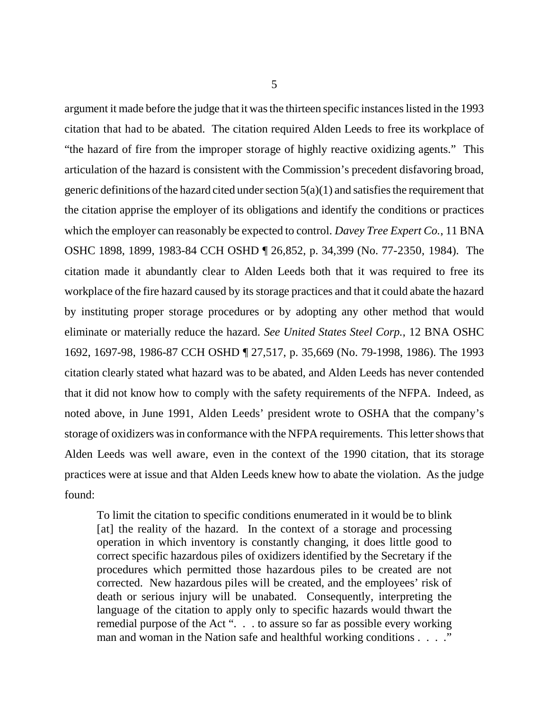5

argument it made before the judge that it was the thirteen specific instances listed in the 1993 citation that had to be abated. The citation required Alden Leeds to free its workplace of "the hazard of fire from the improper storage of highly reactive oxidizing agents." This articulation of the hazard is consistent with the Commission's precedent disfavoring broad, generic definitions of the hazard cited under section  $5(a)(1)$  and satisfies the requirement that the citation apprise the employer of its obligations and identify the conditions or practices which the employer can reasonably be expected to control. *Davey Tree Expert Co.*, 11 BNA OSHC 1898, 1899, 1983-84 CCH OSHD ¶ 26,852, p. 34,399 (No. 77-2350, 1984). The citation made it abundantly clear to Alden Leeds both that it was required to free its workplace of the fire hazard caused by its storage practices and that it could abate the hazard by instituting proper storage procedures or by adopting any other method that would eliminate or materially reduce the hazard. *See United States Steel Corp.*, 12 BNA OSHC 1692, 1697-98, 1986-87 CCH OSHD ¶ 27,517, p. 35,669 (No. 79-1998, 1986). The 1993 citation clearly stated what hazard was to be abated, and Alden Leeds has never contended that it did not know how to comply with the safety requirements of the NFPA. Indeed, as noted above, in June 1991, Alden Leeds' president wrote to OSHA that the company's storage of oxidizers was in conformance with the NFPA requirements. This letter shows that Alden Leeds was well aware, even in the context of the 1990 citation, that its storage practices were at issue and that Alden Leeds knew how to abate the violation. As the judge found:

To limit the citation to specific conditions enumerated in it would be to blink [at] the reality of the hazard. In the context of a storage and processing operation in which inventory is constantly changing, it does little good to correct specific hazardous piles of oxidizers identified by the Secretary if the procedures which permitted those hazardous piles to be created are not corrected. New hazardous piles will be created, and the employees' risk of death or serious injury will be unabated. Consequently, interpreting the language of the citation to apply only to specific hazards would thwart the remedial purpose of the Act ". . . to assure so far as possible every working man and woman in the Nation safe and healthful working conditions . . . ."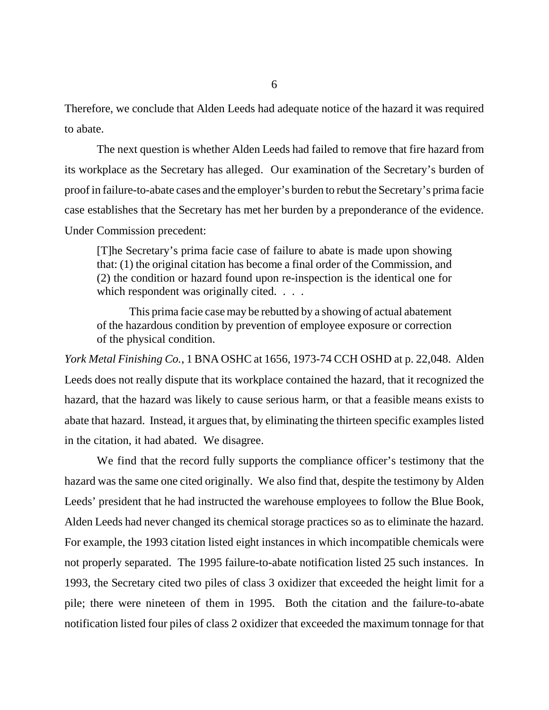Therefore, we conclude that Alden Leeds had adequate notice of the hazard it was required to abate.

The next question is whether Alden Leeds had failed to remove that fire hazard from its workplace as the Secretary has alleged. Our examination of the Secretary's burden of proof in failure-to-abate cases and the employer's burden to rebut the Secretary's prima facie case establishes that the Secretary has met her burden by a preponderance of the evidence. Under Commission precedent:

[T]he Secretary's prima facie case of failure to abate is made upon showing that: (1) the original citation has become a final order of the Commission, and (2) the condition or hazard found upon re-inspection is the identical one for which respondent was originally cited. . . .

This prima facie case may be rebutted by a showing of actual abatement of the hazardous condition by prevention of employee exposure or correction of the physical condition.

*York Metal Finishing Co.*, 1 BNA OSHC at 1656, 1973-74 CCH OSHD at p. 22,048. Alden Leeds does not really dispute that its workplace contained the hazard, that it recognized the hazard, that the hazard was likely to cause serious harm, or that a feasible means exists to abate that hazard. Instead, it argues that, by eliminating the thirteen specific examples listed in the citation, it had abated. We disagree.

We find that the record fully supports the compliance officer's testimony that the hazard was the same one cited originally. We also find that, despite the testimony by Alden Leeds' president that he had instructed the warehouse employees to follow the Blue Book, Alden Leeds had never changed its chemical storage practices so as to eliminate the hazard. For example, the 1993 citation listed eight instances in which incompatible chemicals were not properly separated. The 1995 failure-to-abate notification listed 25 such instances. In 1993, the Secretary cited two piles of class 3 oxidizer that exceeded the height limit for a pile; there were nineteen of them in 1995. Both the citation and the failure-to-abate notification listed four piles of class 2 oxidizer that exceeded the maximum tonnage for that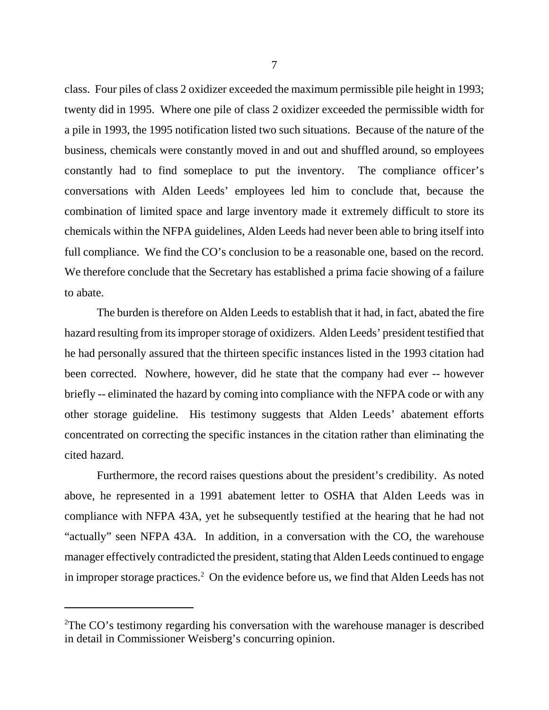class. Four piles of class 2 oxidizer exceeded the maximum permissible pile height in 1993; twenty did in 1995. Where one pile of class 2 oxidizer exceeded the permissible width for a pile in 1993, the 1995 notification listed two such situations. Because of the nature of the business, chemicals were constantly moved in and out and shuffled around, so employees constantly had to find someplace to put the inventory. The compliance officer's conversations with Alden Leeds' employees led him to conclude that, because the combination of limited space and large inventory made it extremely difficult to store its chemicals within the NFPA guidelines, Alden Leeds had never been able to bring itself into full compliance. We find the CO's conclusion to be a reasonable one, based on the record. We therefore conclude that the Secretary has established a prima facie showing of a failure to abate.

The burden is therefore on Alden Leeds to establish that it had, in fact, abated the fire hazard resulting from its improper storage of oxidizers. Alden Leeds' president testified that he had personally assured that the thirteen specific instances listed in the 1993 citation had been corrected. Nowhere, however, did he state that the company had ever -- however briefly -- eliminated the hazard by coming into compliance with the NFPA code or with any other storage guideline. His testimony suggests that Alden Leeds' abatement efforts concentrated on correcting the specific instances in the citation rather than eliminating the cited hazard.

Furthermore, the record raises questions about the president's credibility. As noted above, he represented in a 1991 abatement letter to OSHA that Alden Leeds was in compliance with NFPA 43A, yet he subsequently testified at the hearing that he had not "actually" seen NFPA 43A. In addition, in a conversation with the CO, the warehouse manager effectively contradicted the president, stating that Alden Leeds continued to engage in improper storage practices.<sup>2</sup> On the evidence before us, we find that Alden Leeds has not

 $2$ The CO's testimony regarding his conversation with the warehouse manager is described in detail in Commissioner Weisberg's concurring opinion.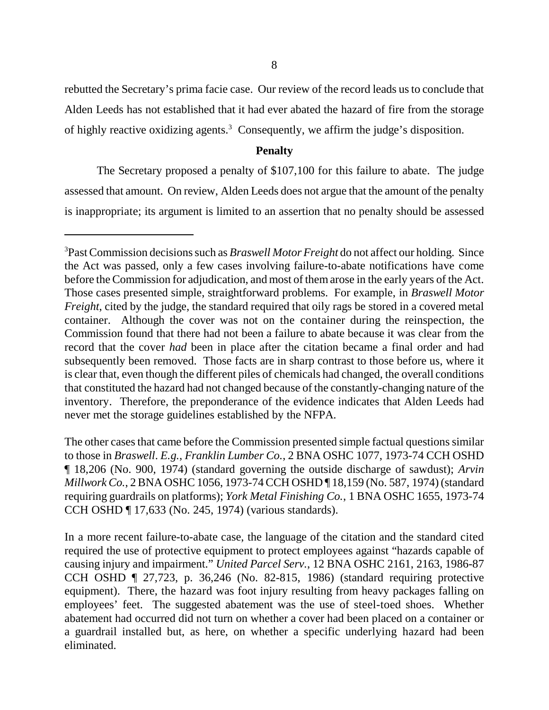rebutted the Secretary's prima facie case. Our review of the record leads us to conclude that Alden Leeds has not established that it had ever abated the hazard of fire from the storage of highly reactive oxidizing agents.<sup>3</sup> Consequently, we affirm the judge's disposition.

# **Penalty**

The Secretary proposed a penalty of \$107,100 for this failure to abate. The judge assessed that amount. On review, Alden Leeds does not argue that the amount of the penalty is inappropriate; its argument is limited to an assertion that no penalty should be assessed

The other cases that came before the Commission presented simple factual questions similar to those in *Braswell*. *E.g.*, *Franklin Lumber Co.*, 2 BNA OSHC 1077, 1973-74 CCH OSHD ¶ 18,206 (No. 900, 1974) (standard governing the outside discharge of sawdust); *Arvin Millwork Co.*, 2 BNA OSHC 1056, 1973-74 CCH OSHD ¶ 18,159 (No. 587, 1974) (standard requiring guardrails on platforms); *York Metal Finishing Co.*, 1 BNA OSHC 1655, 1973-74 CCH OSHD ¶ 17,633 (No. 245, 1974) (various standards).

In a more recent failure-to-abate case, the language of the citation and the standard cited required the use of protective equipment to protect employees against "hazards capable of causing injury and impairment." *United Parcel Serv.*, 12 BNA OSHC 2161, 2163, 1986-87 CCH OSHD ¶ 27,723, p. 36,246 (No. 82-815, 1986) (standard requiring protective equipment). There, the hazard was foot injury resulting from heavy packages falling on employees' feet. The suggested abatement was the use of steel-toed shoes. Whether abatement had occurred did not turn on whether a cover had been placed on a container or a guardrail installed but, as here, on whether a specific underlying hazard had been eliminated.

<sup>3</sup> Past Commission decisions such as *Braswell Motor Freight* do not affect our holding. Since the Act was passed, only a few cases involving failure-to-abate notifications have come before the Commission for adjudication, and most of them arose in the early years of the Act. Those cases presented simple, straightforward problems. For example, in *Braswell Motor Freight*, cited by the judge, the standard required that oily rags be stored in a covered metal container. Although the cover was not on the container during the reinspection, the Commission found that there had not been a failure to abate because it was clear from the record that the cover *had* been in place after the citation became a final order and had subsequently been removed. Those facts are in sharp contrast to those before us, where it is clear that, even though the different piles of chemicals had changed, the overall conditions that constituted the hazard had not changed because of the constantly-changing nature of the inventory. Therefore, the preponderance of the evidence indicates that Alden Leeds had never met the storage guidelines established by the NFPA.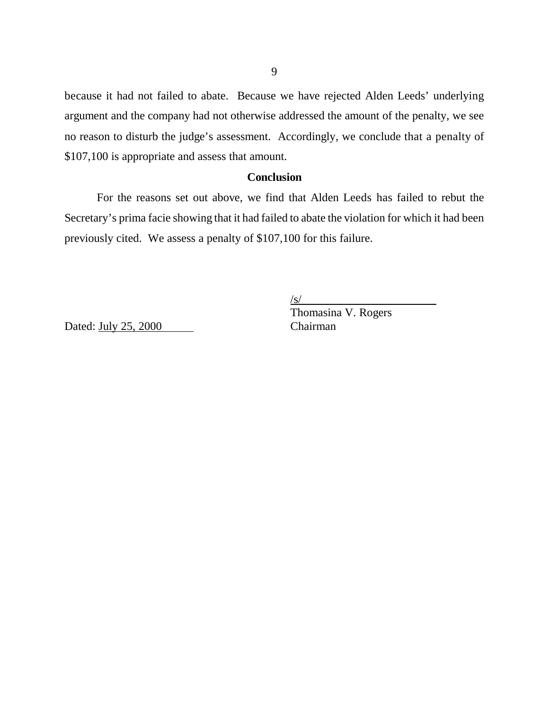because it had not failed to abate. Because we have rejected Alden Leeds' underlying argument and the company had not otherwise addressed the amount of the penalty, we see no reason to disturb the judge's assessment. Accordingly, we conclude that a penalty of \$107,100 is appropriate and assess that amount.

### **Conclusion**

For the reasons set out above, we find that Alden Leeds has failed to rebut the Secretary's prima facie showing that it had failed to abate the violation for which it had been previously cited. We assess a penalty of \$107,100 for this failure.

/s/

Dated: July 25, 2000

Thomasina V. Rogers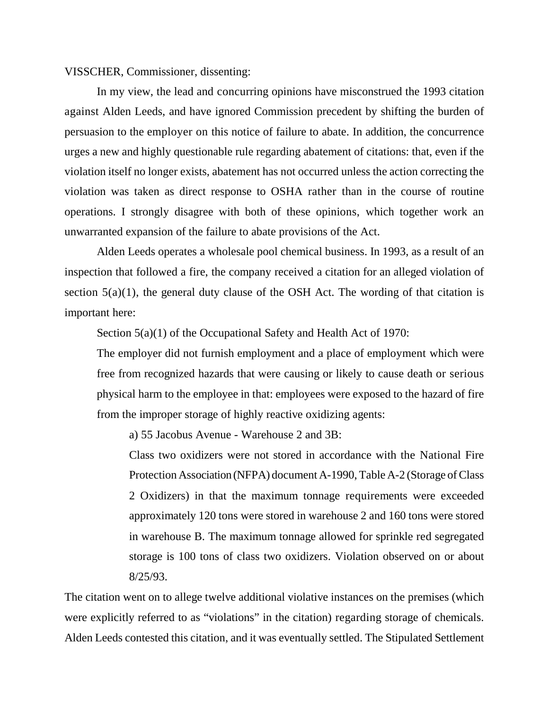VISSCHER, Commissioner, dissenting:

In my view, the lead and concurring opinions have misconstrued the 1993 citation against Alden Leeds, and have ignored Commission precedent by shifting the burden of persuasion to the employer on this notice of failure to abate. In addition, the concurrence urges a new and highly questionable rule regarding abatement of citations: that, even if the violation itself no longer exists, abatement has not occurred unless the action correcting the violation was taken as direct response to OSHA rather than in the course of routine operations. I strongly disagree with both of these opinions, which together work an unwarranted expansion of the failure to abate provisions of the Act.

Alden Leeds operates a wholesale pool chemical business. In 1993, as a result of an inspection that followed a fire, the company received a citation for an alleged violation of section  $5(a)(1)$ , the general duty clause of the OSH Act. The wording of that citation is important here:

Section 5(a)(1) of the Occupational Safety and Health Act of 1970:

The employer did not furnish employment and a place of employment which were free from recognized hazards that were causing or likely to cause death or serious physical harm to the employee in that: employees were exposed to the hazard of fire from the improper storage of highly reactive oxidizing agents:

a) 55 Jacobus Avenue - Warehouse 2 and 3B:

Class two oxidizers were not stored in accordance with the National Fire Protection Association (NFPA) document A-1990, Table A-2 (Storage of Class 2 Oxidizers) in that the maximum tonnage requirements were exceeded approximately 120 tons were stored in warehouse 2 and 160 tons were stored in warehouse B. The maximum tonnage allowed for sprinkle red segregated storage is 100 tons of class two oxidizers. Violation observed on or about 8/25/93.

The citation went on to allege twelve additional violative instances on the premises (which were explicitly referred to as "violations" in the citation) regarding storage of chemicals. Alden Leeds contested this citation, and it was eventually settled. The Stipulated Settlement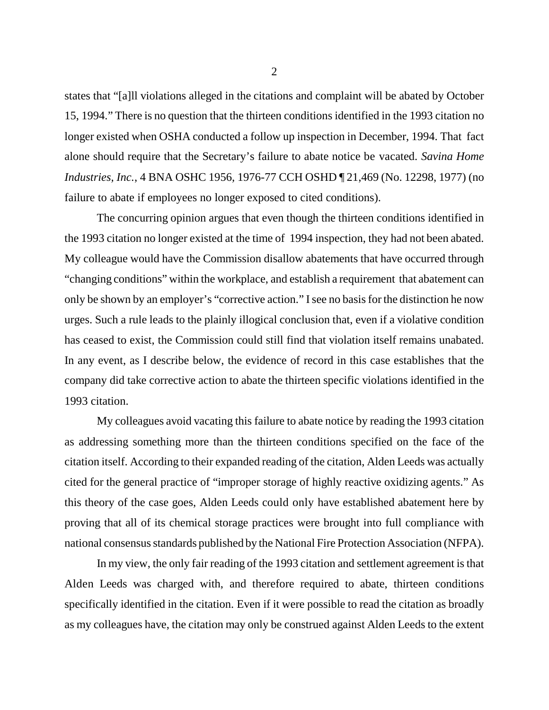states that "[a]ll violations alleged in the citations and complaint will be abated by October 15, 1994." There is no question that the thirteen conditions identified in the 1993 citation no longer existed when OSHA conducted a follow up inspection in December, 1994. That fact alone should require that the Secretary's failure to abate notice be vacated. *Savina Home Industries, Inc.*, 4 BNA OSHC 1956*,* 1976-77 CCH OSHD ¶ 21,469 (No. 12298, 1977) (no failure to abate if employees no longer exposed to cited conditions).

The concurring opinion argues that even though the thirteen conditions identified in the 1993 citation no longer existed at the time of 1994 inspection, they had not been abated. My colleague would have the Commission disallow abatements that have occurred through "changing conditions" within the workplace, and establish a requirement that abatement can only be shown by an employer's "corrective action." I see no basis for the distinction he now urges. Such a rule leads to the plainly illogical conclusion that, even if a violative condition has ceased to exist, the Commission could still find that violation itself remains unabated. In any event, as I describe below, the evidence of record in this case establishes that the company did take corrective action to abate the thirteen specific violations identified in the 1993 citation.

My colleagues avoid vacating this failure to abate notice by reading the 1993 citation as addressing something more than the thirteen conditions specified on the face of the citation itself. According to their expanded reading of the citation, Alden Leeds was actually cited for the general practice of "improper storage of highly reactive oxidizing agents." As this theory of the case goes, Alden Leeds could only have established abatement here by proving that all of its chemical storage practices were brought into full compliance with national consensus standards published by the National Fire Protection Association (NFPA).

In my view, the only fair reading of the 1993 citation and settlement agreement is that Alden Leeds was charged with, and therefore required to abate, thirteen conditions specifically identified in the citation. Even if it were possible to read the citation as broadly as my colleagues have, the citation may only be construed against Alden Leeds to the extent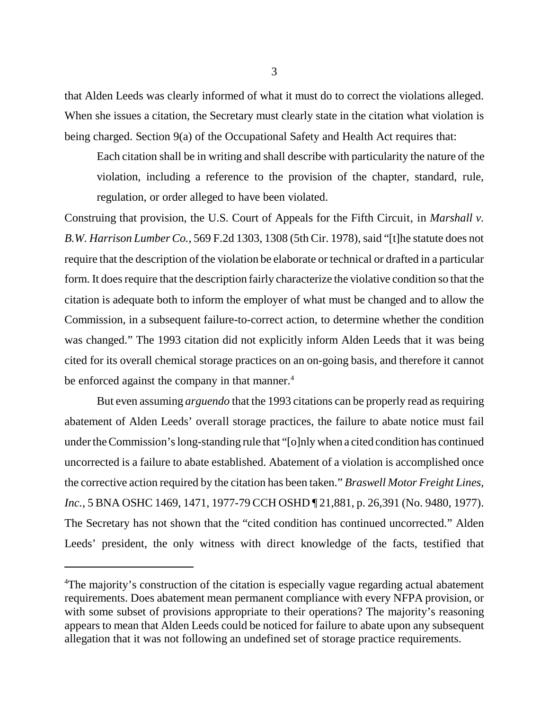that Alden Leeds was clearly informed of what it must do to correct the violations alleged. When she issues a citation, the Secretary must clearly state in the citation what violation is being charged. Section 9(a) of the Occupational Safety and Health Act requires that:

 Each citation shall be in writing and shall describe with particularity the nature of the violation, including a reference to the provision of the chapter, standard, rule, regulation, or order alleged to have been violated.

Construing that provision, the U.S. Court of Appeals for the Fifth Circuit, in *Marshall v. B.W. Harrison Lumber Co.*, 569 F.2d 1303, 1308 (5th Cir. 1978), said "[t]he statute does not require that the description of the violation be elaborate or technical or drafted in a particular form. It does require that the description fairly characterize the violative condition so that the citation is adequate both to inform the employer of what must be changed and to allow the Commission, in a subsequent failure-to-correct action, to determine whether the condition was changed." The 1993 citation did not explicitly inform Alden Leeds that it was being cited for its overall chemical storage practices on an on-going basis, and therefore it cannot be enforced against the company in that manner.<sup>4</sup>

But even assuming *arguendo* that the 1993 citations can be properly read as requiring abatement of Alden Leeds' overall storage practices, the failure to abate notice must fail under the Commission's long-standing rule that "[o]nly when a cited condition has continued uncorrected is a failure to abate established. Abatement of a violation is accomplished once the corrective action required by the citation has been taken." *Braswell Motor Freight Lines*, *Inc.*, 5 BNA OSHC 1469, 1471, 1977-79 CCH OSHD ¶ 21,881, p. 26,391 (No. 9480, 1977). The Secretary has not shown that the "cited condition has continued uncorrected." Alden Leeds' president, the only witness with direct knowledge of the facts, testified that

<sup>&</sup>lt;sup>4</sup>The majority's construction of the citation is especially vague regarding actual abatement requirements. Does abatement mean permanent compliance with every NFPA provision, or with some subset of provisions appropriate to their operations? The majority's reasoning appears to mean that Alden Leeds could be noticed for failure to abate upon any subsequent allegation that it was not following an undefined set of storage practice requirements.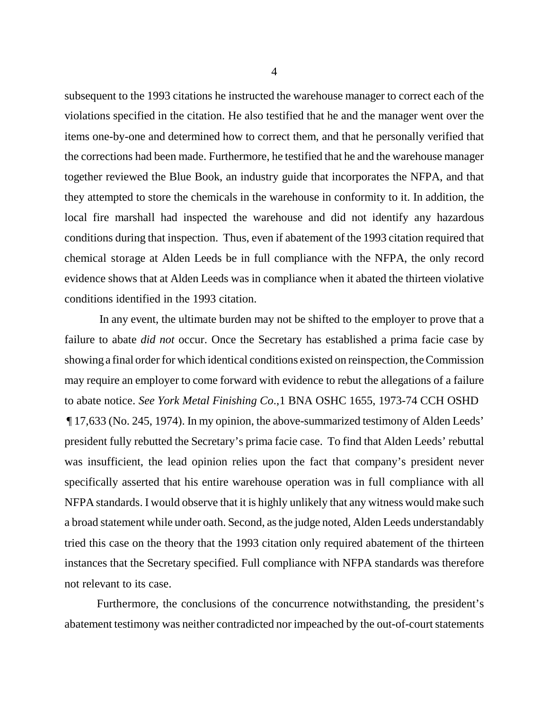subsequent to the 1993 citations he instructed the warehouse manager to correct each of the violations specified in the citation. He also testified that he and the manager went over the items one-by-one and determined how to correct them, and that he personally verified that the corrections had been made. Furthermore, he testified that he and the warehouse manager together reviewed the Blue Book, an industry guide that incorporates the NFPA, and that they attempted to store the chemicals in the warehouse in conformity to it. In addition, the local fire marshall had inspected the warehouse and did not identify any hazardous conditions during that inspection. Thus, even if abatement of the 1993 citation required that chemical storage at Alden Leeds be in full compliance with the NFPA, the only record evidence shows that at Alden Leeds was in compliance when it abated the thirteen violative conditions identified in the 1993 citation.

 In any event, the ultimate burden may not be shifted to the employer to prove that a failure to abate *did not* occur. Once the Secretary has established a prima facie case by showing a final order for which identical conditions existed on reinspection, the Commission may require an employer to come forward with evidence to rebut the allegations of a failure to abate notice. *See York Metal Finishing Co*.,1 BNA OSHC 1655, 1973-74 CCH OSHD ¶ 17,633 (No. 245, 1974). In my opinion, the above-summarized testimony of Alden Leeds' president fully rebutted the Secretary's prima facie case. To find that Alden Leeds' rebuttal was insufficient, the lead opinion relies upon the fact that company's president never specifically asserted that his entire warehouse operation was in full compliance with all NFPA standards. I would observe that it is highly unlikely that any witness would make such a broad statement while under oath. Second, as the judge noted, Alden Leeds understandably tried this case on the theory that the 1993 citation only required abatement of the thirteen instances that the Secretary specified. Full compliance with NFPA standards was therefore not relevant to its case.

Furthermore, the conclusions of the concurrence notwithstanding, the president's abatement testimony was neither contradicted nor impeached by the out-of-court statements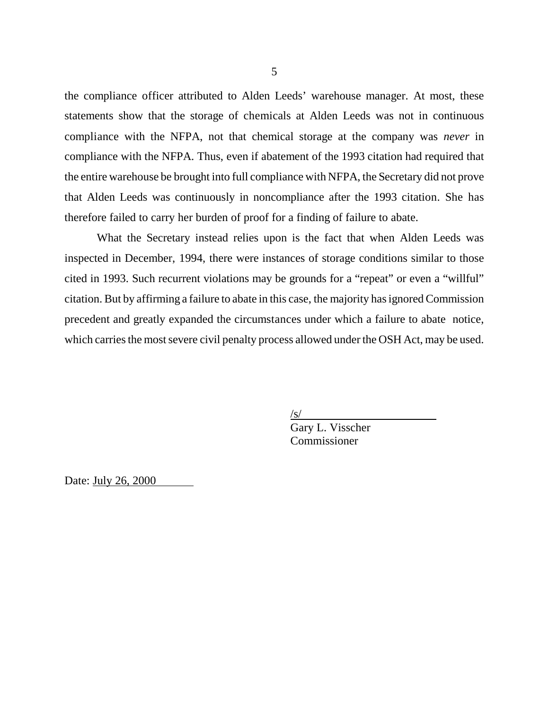the compliance officer attributed to Alden Leeds' warehouse manager. At most, these statements show that the storage of chemicals at Alden Leeds was not in continuous compliance with the NFPA, not that chemical storage at the company was *never* in compliance with the NFPA. Thus, even if abatement of the 1993 citation had required that the entire warehouse be brought into full compliance with NFPA, the Secretary did not prove that Alden Leeds was continuously in noncompliance after the 1993 citation. She has therefore failed to carry her burden of proof for a finding of failure to abate.

What the Secretary instead relies upon is the fact that when Alden Leeds was inspected in December, 1994, there were instances of storage conditions similar to those cited in 1993. Such recurrent violations may be grounds for a "repeat" or even a "willful" citation. But by affirming a failure to abate in this case, the majority has ignored Commission precedent and greatly expanded the circumstances under which a failure to abate notice, which carries the most severe civil penalty process allowed under the OSH Act, may be used.

> /s/ Gary L. Visscher Commissioner

Date: July 26, 2000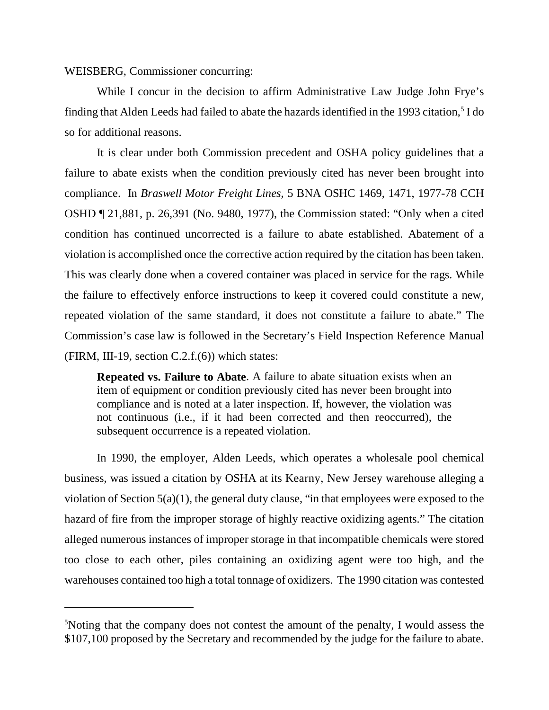WEISBERG, Commissioner concurring:

While I concur in the decision to affirm Administrative Law Judge John Frye's finding that Alden Leeds had failed to abate the hazards identified in the 1993 citation,<sup>5</sup> I do so for additional reasons.

It is clear under both Commission precedent and OSHA policy guidelines that a failure to abate exists when the condition previously cited has never been brought into compliance. In *Braswell Motor Freight Lines,* 5 BNA OSHC 1469, 1471, 1977-78 CCH OSHD ¶ 21,881, p. 26,391 (No. 9480, 1977), the Commission stated: "Only when a cited condition has continued uncorrected is a failure to abate established. Abatement of a violation is accomplished once the corrective action required by the citation has been taken. This was clearly done when a covered container was placed in service for the rags. While the failure to effectively enforce instructions to keep it covered could constitute a new, repeated violation of the same standard, it does not constitute a failure to abate." The Commission's case law is followed in the Secretary's Field Inspection Reference Manual (FIRM, III-19, section  $C.2.f.(6)$ ) which states:

**Repeated vs. Failure to Abate**. A failure to abate situation exists when an item of equipment or condition previously cited has never been brought into compliance and is noted at a later inspection. If, however, the violation was not continuous (i.e., if it had been corrected and then reoccurred), the subsequent occurrence is a repeated violation.

In 1990, the employer, Alden Leeds, which operates a wholesale pool chemical business, was issued a citation by OSHA at its Kearny, New Jersey warehouse alleging a violation of Section 5(a)(1), the general duty clause, "in that employees were exposed to the hazard of fire from the improper storage of highly reactive oxidizing agents." The citation alleged numerous instances of improper storage in that incompatible chemicals were stored too close to each other, piles containing an oxidizing agent were too high, and the warehouses contained too high a total tonnage of oxidizers. The 1990 citation was contested

<sup>5</sup> Noting that the company does not contest the amount of the penalty, I would assess the \$107,100 proposed by the Secretary and recommended by the judge for the failure to abate.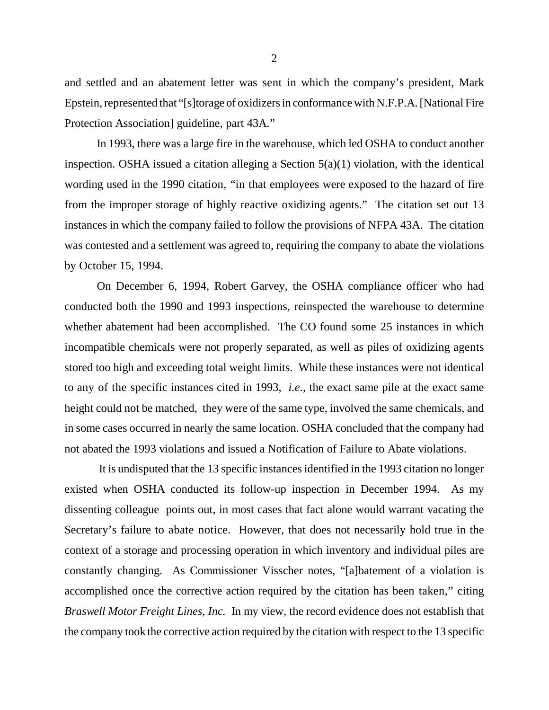and settled and an abatement letter was sent in which the company's president, Mark Epstein, represented that "[s]torage of oxidizers in conformance with N.F.P.A. [National Fire Protection Association] guideline, part 43A."

In 1993, there was a large fire in the warehouse, which led OSHA to conduct another inspection. OSHA issued a citation alleging a Section  $5(a)(1)$  violation, with the identical wording used in the 1990 citation, "in that employees were exposed to the hazard of fire from the improper storage of highly reactive oxidizing agents." The citation set out 13 instances in which the company failed to follow the provisions of NFPA 43A. The citation was contested and a settlement was agreed to, requiring the company to abate the violations by October 15, 1994.

On December 6, 1994, Robert Garvey, the OSHA compliance officer who had conducted both the 1990 and 1993 inspections, reinspected the warehouse to determine whether abatement had been accomplished. The CO found some 25 instances in which incompatible chemicals were not properly separated, as well as piles of oxidizing agents stored too high and exceeding total weight limits. While these instances were not identical to any of the specific instances cited in 1993, *i.e*., the exact same pile at the exact same height could not be matched, they were of the same type, involved the same chemicals, and in some cases occurred in nearly the same location. OSHA concluded that the company had not abated the 1993 violations and issued a Notification of Failure to Abate violations.

 It is undisputed that the 13 specific instances identified in the 1993 citation no longer existed when OSHA conducted its follow-up inspection in December 1994. As my dissenting colleague points out, in most cases that fact alone would warrant vacating the Secretary's failure to abate notice. However, that does not necessarily hold true in the context of a storage and processing operation in which inventory and individual piles are constantly changing. As Commissioner Visscher notes, "[a]batement of a violation is accomplished once the corrective action required by the citation has been taken," citing *Braswell Motor Freight Lines, Inc.* In my view, the record evidence does not establish that the company took the corrective action required by the citation with respect to the 13 specific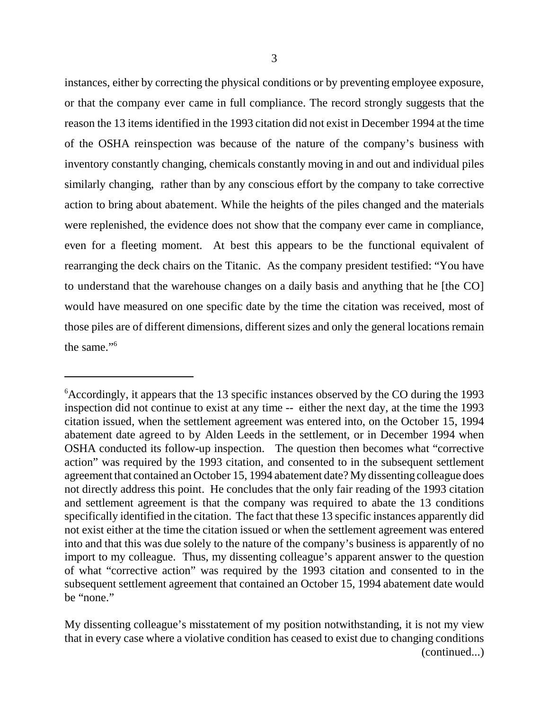instances, either by correcting the physical conditions or by preventing employee exposure, or that the company ever came in full compliance. The record strongly suggests that the reason the 13 items identified in the 1993 citation did not exist in December 1994 at the time of the OSHA reinspection was because of the nature of the company's business with inventory constantly changing, chemicals constantly moving in and out and individual piles similarly changing, rather than by any conscious effort by the company to take corrective action to bring about abatement. While the heights of the piles changed and the materials were replenished, the evidence does not show that the company ever came in compliance, even for a fleeting moment. At best this appears to be the functional equivalent of rearranging the deck chairs on the Titanic. As the company president testified: "You have to understand that the warehouse changes on a daily basis and anything that he [the CO] would have measured on one specific date by the time the citation was received, most of those piles are of different dimensions, different sizes and only the general locations remain the same."6

My dissenting colleague's misstatement of my position notwithstanding, it is not my view that in every case where a violative condition has ceased to exist due to changing conditions (continued...)

<sup>6</sup> Accordingly, it appears that the 13 specific instances observed by the CO during the 1993 inspection did not continue to exist at any time -- either the next day, at the time the 1993 citation issued, when the settlement agreement was entered into, on the October 15, 1994 abatement date agreed to by Alden Leeds in the settlement, or in December 1994 when OSHA conducted its follow-up inspection. The question then becomes what "corrective action" was required by the 1993 citation, and consented to in the subsequent settlement agreement that contained an October 15, 1994 abatement date? My dissenting colleague does not directly address this point. He concludes that the only fair reading of the 1993 citation and settlement agreement is that the company was required to abate the 13 conditions specifically identified in the citation. The fact that these 13 specific instances apparently did not exist either at the time the citation issued or when the settlement agreement was entered into and that this was due solely to the nature of the company's business is apparently of no import to my colleague. Thus, my dissenting colleague's apparent answer to the question of what "corrective action" was required by the 1993 citation and consented to in the subsequent settlement agreement that contained an October 15, 1994 abatement date would be "none."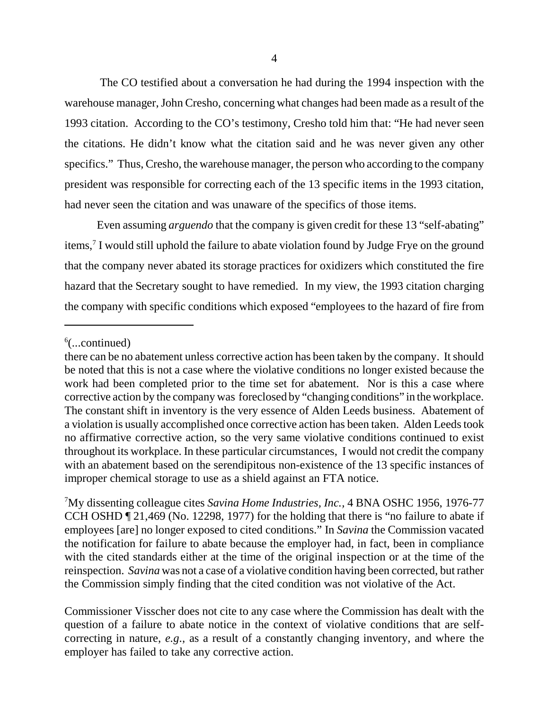The CO testified about a conversation he had during the 1994 inspection with the warehouse manager, John Cresho, concerning what changes had been made as a result of the 1993 citation. According to the CO's testimony, Cresho told him that: "He had never seen the citations. He didn't know what the citation said and he was never given any other specifics." Thus, Cresho, the warehouse manager, the person who according to the company president was responsible for correcting each of the 13 specific items in the 1993 citation, had never seen the citation and was unaware of the specifics of those items.

Even assuming *arguendo* that the company is given credit for these 13 "self-abating" items,<sup>7</sup> I would still uphold the failure to abate violation found by Judge Frye on the ground that the company never abated its storage practices for oxidizers which constituted the fire hazard that the Secretary sought to have remedied. In my view, the 1993 citation charging the company with specific conditions which exposed "employees to the hazard of fire from

Commissioner Visscher does not cite to any case where the Commission has dealt with the question of a failure to abate notice in the context of violative conditions that are selfcorrecting in nature, *e.g*., as a result of a constantly changing inventory, and where the employer has failed to take any corrective action.

<sup>6</sup> (...continued)

there can be no abatement unless corrective action has been taken by the company. It should be noted that this is not a case where the violative conditions no longer existed because the work had been completed prior to the time set for abatement. Nor is this a case where corrective action by the company was foreclosed by "changing conditions" in the workplace. The constant shift in inventory is the very essence of Alden Leeds business. Abatement of a violation is usually accomplished once corrective action has been taken. Alden Leeds took no affirmative corrective action, so the very same violative conditions continued to exist throughout its workplace. In these particular circumstances, I would not credit the company with an abatement based on the serendipitous non-existence of the 13 specific instances of improper chemical storage to use as a shield against an FTA notice.

<sup>7</sup> My dissenting colleague cites *Savina Home Industries, Inc.,* 4 BNA OSHC 1956, 1976-77 CCH OSHD ¶ 21,469 (No. 12298, 1977) for the holding that there is "no failure to abate if employees [are] no longer exposed to cited conditions." In *Savina* the Commission vacated the notification for failure to abate because the employer had, in fact, been in compliance with the cited standards either at the time of the original inspection or at the time of the reinspection. *Savina* was not a case of a violative condition having been corrected, but rather the Commission simply finding that the cited condition was not violative of the Act.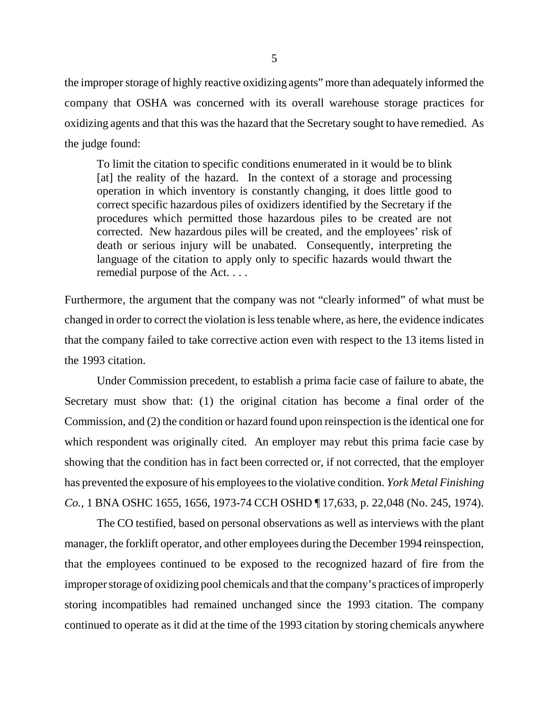the improper storage of highly reactive oxidizing agents" more than adequately informed the company that OSHA was concerned with its overall warehouse storage practices for oxidizing agents and that this was the hazard that the Secretary sought to have remedied. As the judge found:

To limit the citation to specific conditions enumerated in it would be to blink [at] the reality of the hazard. In the context of a storage and processing operation in which inventory is constantly changing, it does little good to correct specific hazardous piles of oxidizers identified by the Secretary if the procedures which permitted those hazardous piles to be created are not corrected. New hazardous piles will be created, and the employees' risk of death or serious injury will be unabated. Consequently, interpreting the language of the citation to apply only to specific hazards would thwart the remedial purpose of the Act. . . .

Furthermore, the argument that the company was not "clearly informed" of what must be changed in order to correct the violation is less tenable where, as here, the evidence indicates that the company failed to take corrective action even with respect to the 13 items listed in the 1993 citation.

Under Commission precedent, to establish a prima facie case of failure to abate, the Secretary must show that: (1) the original citation has become a final order of the Commission, and (2) the condition or hazard found upon reinspection is the identical one for which respondent was originally cited. An employer may rebut this prima facie case by showing that the condition has in fact been corrected or, if not corrected, that the employer has prevented the exposure of his employees to the violative condition. *York Metal Finishing Co.,* 1 BNA OSHC 1655, 1656, 1973-74 CCH OSHD ¶ 17,633, p. 22,048 (No. 245, 1974).

The CO testified, based on personal observations as well as interviews with the plant manager, the forklift operator, and other employees during the December 1994 reinspection, that the employees continued to be exposed to the recognized hazard of fire from the improper storage of oxidizing pool chemicals and that the company's practices of improperly storing incompatibles had remained unchanged since the 1993 citation. The company continued to operate as it did at the time of the 1993 citation by storing chemicals anywhere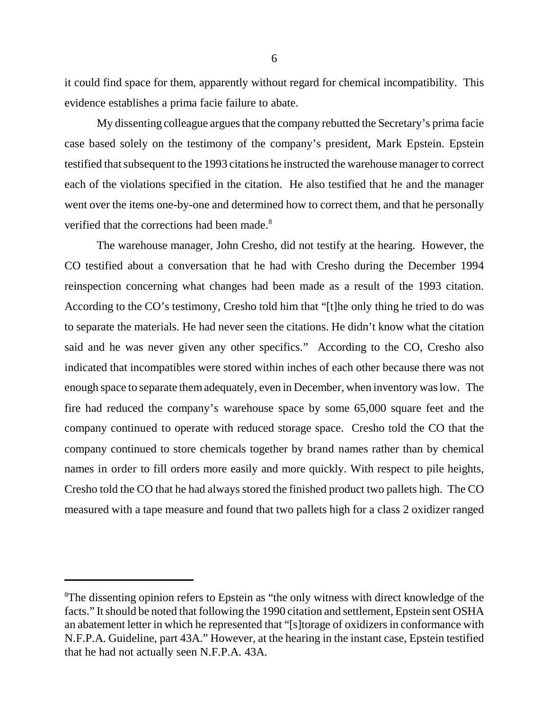it could find space for them, apparently without regard for chemical incompatibility. This evidence establishes a prima facie failure to abate.

My dissenting colleague argues that the company rebutted the Secretary's prima facie case based solely on the testimony of the company's president, Mark Epstein. Epstein testified that subsequent to the 1993 citations he instructed the warehouse manager to correct each of the violations specified in the citation. He also testified that he and the manager went over the items one-by-one and determined how to correct them, and that he personally verified that the corrections had been made.<sup>8</sup>

The warehouse manager, John Cresho, did not testify at the hearing. However, the CO testified about a conversation that he had with Cresho during the December 1994 reinspection concerning what changes had been made as a result of the 1993 citation. According to the CO's testimony, Cresho told him that "[t]he only thing he tried to do was to separate the materials. He had never seen the citations. He didn't know what the citation said and he was never given any other specifics." According to the CO, Cresho also indicated that incompatibles were stored within inches of each other because there was not enough space to separate them adequately, even in December, when inventory was low. The fire had reduced the company's warehouse space by some 65,000 square feet and the company continued to operate with reduced storage space. Cresho told the CO that the company continued to store chemicals together by brand names rather than by chemical names in order to fill orders more easily and more quickly. With respect to pile heights, Cresho told the CO that he had always stored the finished product two pallets high. The CO measured with a tape measure and found that two pallets high for a class 2 oxidizer ranged

<sup>&</sup>lt;sup>8</sup>The dissenting opinion refers to Epstein as "the only witness with direct knowledge of the facts." It should be noted that following the 1990 citation and settlement, Epstein sent OSHA an abatement letter in which he represented that "[s]torage of oxidizers in conformance with N.F.P.A. Guideline, part 43A." However, at the hearing in the instant case, Epstein testified that he had not actually seen N.F.P.A. 43A.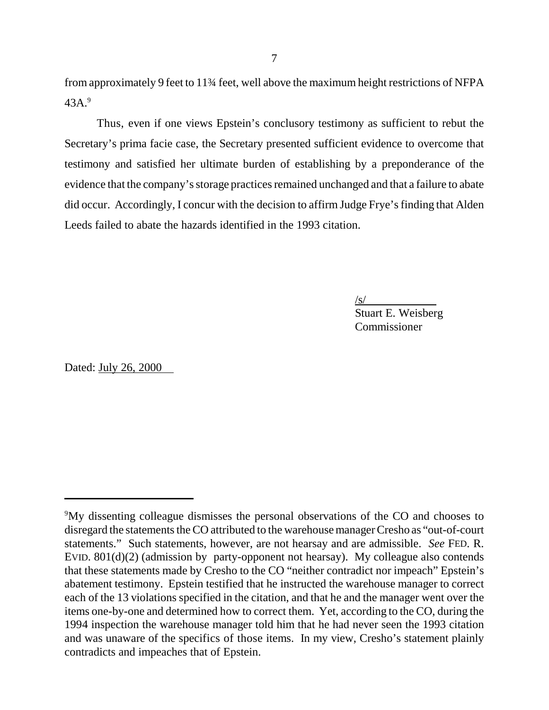from approximately 9 feet to 11¾ feet, well above the maximum height restrictions of NFPA 43A.9

Thus, even if one views Epstein's conclusory testimony as sufficient to rebut the Secretary's prima facie case, the Secretary presented sufficient evidence to overcome that testimony and satisfied her ultimate burden of establishing by a preponderance of the evidence that the company's storage practices remained unchanged and that a failure to abate did occur. Accordingly, I concur with the decision to affirm Judge Frye's finding that Alden Leeds failed to abate the hazards identified in the 1993 citation.

 $\sqrt{s/}$ 

Stuart E. Weisberg Commissioner

Dated: July 26, 2000

<sup>&</sup>lt;sup>9</sup>My dissenting colleague dismisses the personal observations of the CO and chooses to disregard the statements the CO attributed to the warehouse manager Cresho as "out-of-court statements." Such statements, however, are not hearsay and are admissible. *See* FED. R. EVID. 801(d)(2) (admission by party-opponent not hearsay). My colleague also contends that these statements made by Cresho to the CO "neither contradict nor impeach" Epstein's abatement testimony. Epstein testified that he instructed the warehouse manager to correct each of the 13 violations specified in the citation, and that he and the manager went over the items one-by-one and determined how to correct them. Yet, according to the CO, during the 1994 inspection the warehouse manager told him that he had never seen the 1993 citation and was unaware of the specifics of those items. In my view, Cresho's statement plainly contradicts and impeaches that of Epstein.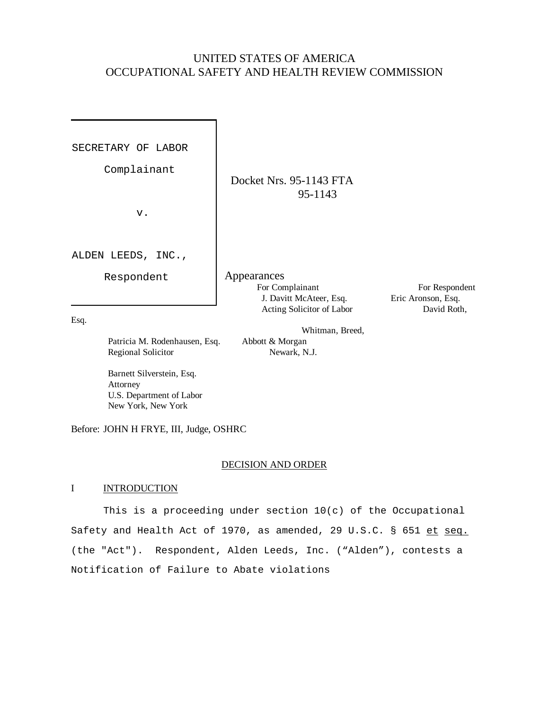## UNITED STATES OF AMERICA OCCUPATIONAL SAFETY AND HEALTH REVIEW COMMISSION

SECRETARY OF LABOR

Complainant

v.

ALDEN LEEDS, INC.,

Respondent

95-1143

Whitman, Breed,

Docket Nrs. 95-1143 FTA

Appearances For Complainant For Respondent J. Davitt McAteer, Esq. Eric Aronson, Esq. Acting Solicitor of Labor David Roth,

Esq.

Patricia M. Rodenhausen, Esq. Abbott & Morgan Regional Solicitor Newark, N.J.

 Barnett Silverstein, Esq. Attorney U.S. Department of Labor New York, New York

Before: JOHN H FRYE, III, Judge, OSHRC

### DECISION AND ORDER

### I INTRODUCTION

This is a proceeding under section 10(c) of the Occupational Safety and Health Act of 1970, as amended, 29 U.S.C. § 651 et seq. (the "Act"). Respondent, Alden Leeds, Inc. ("Alden"), contests a Notification of Failure to Abate violations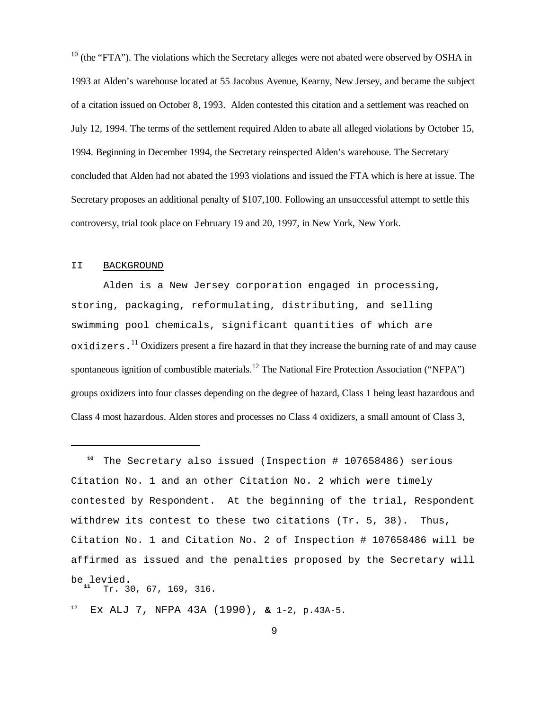$10$  (the "FTA"). The violations which the Secretary alleges were not abated were observed by OSHA in 1993 at Alden's warehouse located at 55 Jacobus Avenue, Kearny, New Jersey, and became the subject of a citation issued on October 8, 1993. Alden contested this citation and a settlement was reached on July 12, 1994. The terms of the settlement required Alden to abate all alleged violations by October 15, 1994. Beginning in December 1994, the Secretary reinspected Alden's warehouse. The Secretary concluded that Alden had not abated the 1993 violations and issued the FTA which is here at issue. The Secretary proposes an additional penalty of \$107,100. Following an unsuccessful attempt to settle this controversy, trial took place on February 19 and 20, 1997, in New York, New York.

#### II BACKGROUND

Alden is a New Jersey corporation engaged in processing, storing, packaging, reformulating, distributing, and selling swimming pool chemicals, significant quantities of which are  $\alpha$  oxidizers.<sup>11</sup> Oxidizers present a fire hazard in that they increase the burning rate of and may cause spontaneous ignition of combustible materials.<sup>12</sup> The National Fire Protection Association ("NFPA") groups oxidizers into four classes depending on the degree of hazard, Class 1 being least hazardous and Class 4 most hazardous. Alden stores and processes no Class 4 oxidizers, a small amount of Class 3,

 **<sup>10</sup>** The Secretary also issued (Inspection # 107658486) serious Citation No. 1 and an other Citation No. 2 which were timely contested by Respondent. At the beginning of the trial, Respondent withdrew its contest to these two citations (Tr. 5, 38). Thus, Citation No. 1 and Citation No. 2 of Inspection # 107658486 will be affirmed as issued and the penalties proposed by the Secretary will be levied. Tr. 30, 67, 169, 316.

12 Ex ALJ 7, NFPA 43A (1990), **&** 1-2, p.43A-5.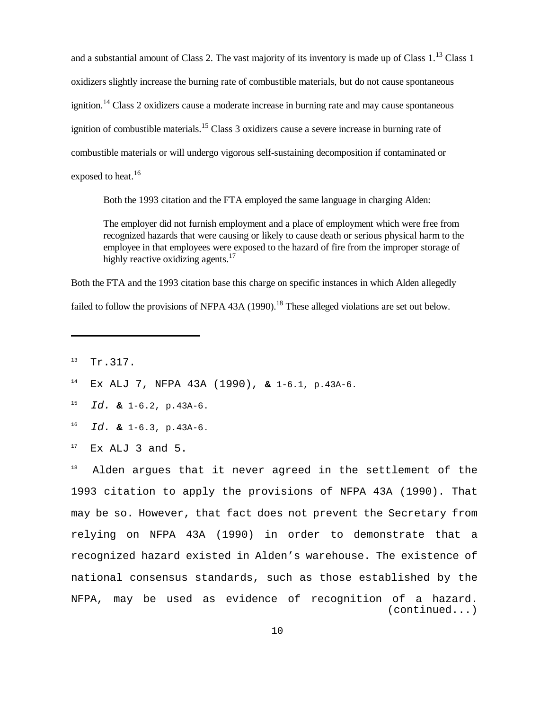and a substantial amount of Class 2. The vast majority of its inventory is made up of Class  $1$ .<sup>13</sup> Class 1 oxidizers slightly increase the burning rate of combustible materials, but do not cause spontaneous ignition.<sup>14</sup> Class 2 oxidizers cause a moderate increase in burning rate and may cause spontaneous ignition of combustible materials.<sup>15</sup> Class  $\frac{3}{10}$  oxidizers cause a severe increase in burning rate of combustible materials or will undergo vigorous self-sustaining decomposition if contaminated or exposed to heat.<sup>16</sup>

Both the 1993 citation and the FTA employed the same language in charging Alden:

The employer did not furnish employment and a place of employment which were free from recognized hazards that were causing or likely to cause death or serious physical harm to the employee in that employees were exposed to the hazard of fire from the improper storage of highly reactive oxidizing agents.<sup>17</sup>

Both the FTA and the 1993 citation base this charge on specific instances in which Alden allegedly failed to follow the provisions of NFPA 43A (1990).<sup>18</sup> These alleged violations are set out below.

- 15 Id. **&** 1-6.2, p.43A-6.
- 16 Id. **&** 1-6.3, p.43A-6.
- 17 Ex ALJ 3 and 5.

<sup>18</sup> Alden argues that it never agreed in the settlement of the 1993 citation to apply the provisions of NFPA 43A (1990). That may be so. However, that fact does not prevent the Secretary from relying on NFPA 43A (1990) in order to demonstrate that a recognized hazard existed in Alden's warehouse. The existence of national consensus standards, such as those established by the NFPA, may be used as evidence of recognition of a hazard. (continued...)

<sup>13</sup> Tr.317.

<sup>14</sup> Ex ALJ 7, NFPA 43A (1990), **&** 1-6.1, p.43A-6.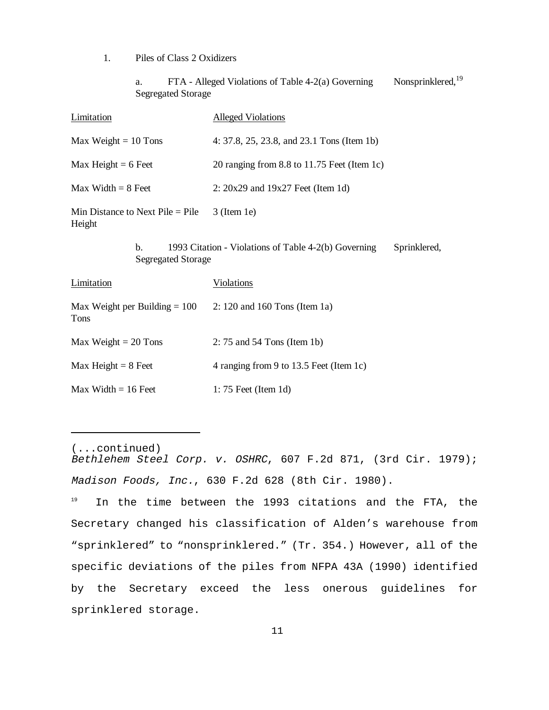1. Piles of Class 2 Oxidizers

a. FTA - Alleged Violations of Table 4-2(a) Governing Nonsprinklered,<sup>19</sup> Segregated Storage

| Limitation                                                                                                          | <b>Alleged Violations</b>                   |
|---------------------------------------------------------------------------------------------------------------------|---------------------------------------------|
| Max Weight $= 10$ Tons                                                                                              | 4: 37.8, 25, 23.8, and 23.1 Tons (Item 1b)  |
| Max Height $= 6$ Feet                                                                                               | 20 ranging from 8.8 to 11.75 Feet (Item 1c) |
| $Max Width = 8$ Feet                                                                                                | $2: 20x29$ and $19x27$ Feet (Item 1d)       |
| Min Distance to Next Pile $=$ Pile<br>Height                                                                        | $3$ (Item 1e)                               |
| 1993 Citation - Violations of Table 4-2(b) Governing<br>$\mathbf{b}$ .<br>Sprinklered,<br><b>Segregated Storage</b> |                                             |
| Limitation                                                                                                          | <u>Violations</u>                           |
| Max Weight per Building = $100 \,$ 2: 120 and 160 Tons (Item 1a)<br>Tons                                            |                                             |
| Max Weight $= 20$ Tons                                                                                              | $2: 75$ and $54$ Tons (Item 1b)             |
| Max Height $= 8$ Feet                                                                                               | 4 ranging from 9 to 13.5 Feet (Item 1c)     |
| $Max Width = 16$ Feet                                                                                               | $1:75$ Feet (Item 1d)                       |
|                                                                                                                     |                                             |

(...continued) Bethlehem Steel Corp. v. OSHRC, 607 F.2d 871, (3rd Cir. 1979); Madison Foods, Inc. , 630 F.2d 628 (8th Cir. 1980).

<sup>19</sup> In the time between the 1993 citations and the FTA, the Secretary changed his classification of Alden's warehouse from "sprinklered" to "nonsprinklered." (Tr. 354.) However, all of the specific deviations of the piles from NFPA 43A (1990) identified by the Secretary exceed the less onerous guidelines for sprinklered storage.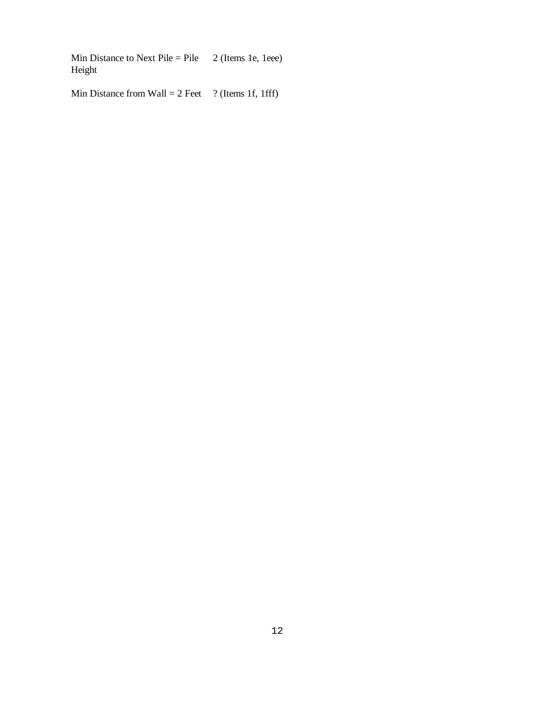Min Distance to Next Pile = Pile  $\quad$  2 (Items 1e, 1eee) Height

Min Distance from Wall =  $2$  Feet ? (Items 1f, 1fff)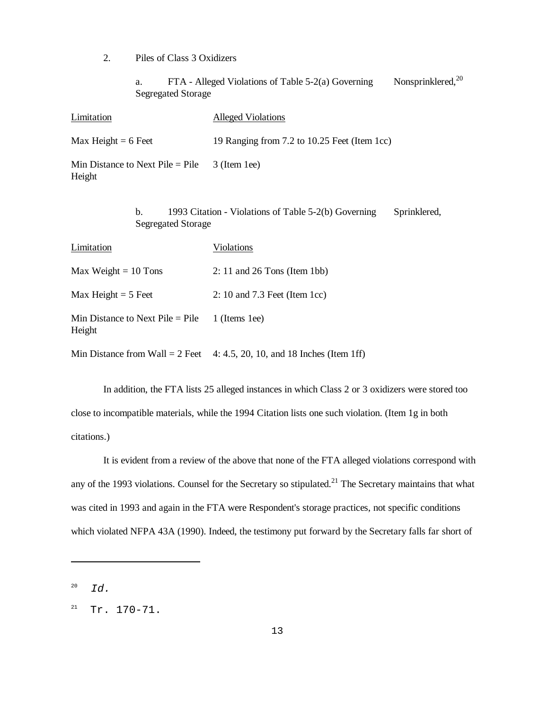2. Piles of Class 3 Oxidizers

a. FTA - Alleged Violations of Table 5-2(a) Governing Nonsprinklered,<sup>20</sup> Segregated Storage

| Limitation                                                                                              | <b>Alleged Violations</b>                                                  |
|---------------------------------------------------------------------------------------------------------|----------------------------------------------------------------------------|
| Max Height = $6$ Feet                                                                                   | 19 Ranging from 7.2 to 10.25 Feet (Item 1cc)                               |
| Min Distance to Next Pile $=$ Pile<br>Height                                                            | 3 (Item 1ee)                                                               |
| 1993 Citation - Violations of Table 5-2(b) Governing<br>b.<br>Sprinklered,<br><b>Segregated Storage</b> |                                                                            |
| Limitation                                                                                              | Violations                                                                 |
| Max Weight $= 10$ Tons                                                                                  | $2: 11$ and $26$ Tons (Item 1bb)                                           |
| Max Height $= 5$ Feet                                                                                   | 2: 10 and $7.3$ Feet (Item 1cc)                                            |
| Min Distance to Next Pile $=$ Pile<br>Height                                                            | 1 (Items 1ee)                                                              |
|                                                                                                         | Min Distance from Wall = $2$ Feet 4: 4.5, 20, 10, and 18 Inches (Item 1ff) |

In addition, the FTA lists 25 alleged instances in which Class 2 or 3 oxidizers were stored too close to incompatible materials, while the 1994 Citation lists one such violation. (Item 1g in both citations.)

It is evident from a review of the above that none of the FTA alleged violations correspond with any of the 1993 violations. Counsel for the Secretary so stipulated.<sup>21</sup> The Secretary maintains that what was cited in 1993 and again in the FTA were Respondent's storage practices, not specific conditions which violated NFPA 43A (1990). Indeed, the testimony put forward by the Secretary falls far short of

<sup>20</sup> Id.

 $21$  Tr. 170-71.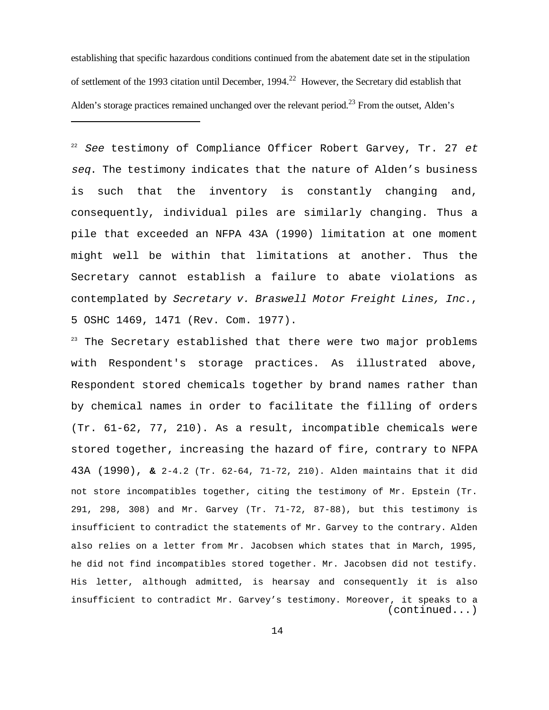establishing that specific hazardous conditions continued from the abatement date set in the stipulation of settlement of the 1993 citation until December, 1994.<sup>22</sup> However, the Secretary did establish that Alden's storage practices remained unchanged over the relevant period.<sup>23</sup> From the outset, Alden's

 $22$  See testimony of Compliance Officer Robert Garvey, Tr. 27 et seq. The testimony indicates that the nature of Alden's business is such that the inventory is constantly changing and, consequently, individual piles are similarly changing. Thus a pile that exceeded an NFPA 43A (1990) limitation at one moment might well be within that limitations at another. Thus the Secretary cannot establish a failure to abate violations as contemplated by Secretary v. Braswell Motor Freight Lines, Inc., 5 OSHC 1469, 1471 (Rev. Com. 1977).

 $23$  The Secretary established that there were two major problems with Respondent's storage practices. As illustrated above, Respondent stored chemicals together by brand names rather than by chemical names in order to facilitate the filling of orders (Tr. 61-62, 77, 210). As a result, incompatible chemicals were stored together, increasing the hazard of fire, contrary to NFPA 43A (1990), **&** 2-4.2 (Tr. 62-64, 71-72, 210). Alden maintains that it did not store incompatibles together, citing the testimony of Mr. Epstein (Tr. 291, 298, 308) and Mr. Garvey (Tr. 71-72, 87-88), but this testimony is insufficient to contradict the statements of Mr. Garvey to the contrary. Alden also relies on a letter from Mr. Jacobsen which states that in March, 1995, he did not find incompatibles stored together. Mr. Jacobsen did not testify. His letter, although admitted, is hearsay and consequently it is also insufficient to contradict Mr. Garvey's testimony. Moreover, it speaks to a (continued...)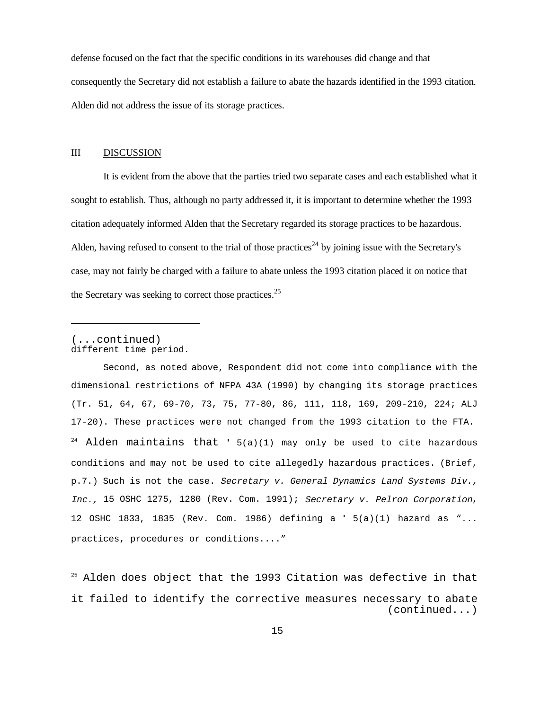defense focused on the fact that the specific conditions in its warehouses did change and that consequently the Secretary did not establish a failure to abate the hazards identified in the 1993 citation. Alden did not address the issue of its storage practices.

### III DISCUSSION

It is evident from the above that the parties tried two separate cases and each established what it sought to establish. Thus, although no party addressed it, it is important to determine whether the 1993 citation adequately informed Alden that the Secretary regarded its storage practices to be hazardous. Alden, having refused to consent to the trial of those practices<sup>24</sup> by joining issue with the Secretary's case, may not fairly be charged with a failure to abate unless the 1993 citation placed it on notice that the Secretary was seeking to correct those practices.<sup>25</sup>

#### (...continued) different time period.

Second, as noted above, Respondent did not come into compliance with the dimensional restrictions of NFPA 43A (1990) by changing its storage practices (Tr. 51, 64, 67, 69-70, 73, 75, 77-80, 86, 111, 118, 169, 209-210, 224; ALJ 17-20). These practices were not changed from the 1993 citation to the FTA. 24 Alden maintains that **'** 5(a)(1) may only be used to cite hazardous conditions and may not be used to cite allegedly hazardous practices. (Brief, p.7.) Such is not the case. Secretary v. General Dynamics Land Systems Div., Inc., 15 OSHC 1275, 1280 (Rev. Com. 1991); Secretary v. Pelron Corporation, 12 OSHC 1833, 1835 (Rev. Com. 1986) defining a **'** 5(a)(1) hazard as "... practices, procedures or conditions...."

 $25$  Alden does object that the 1993 Citation was defective in that it failed to identify the corrective measures necessary to abate (continued...)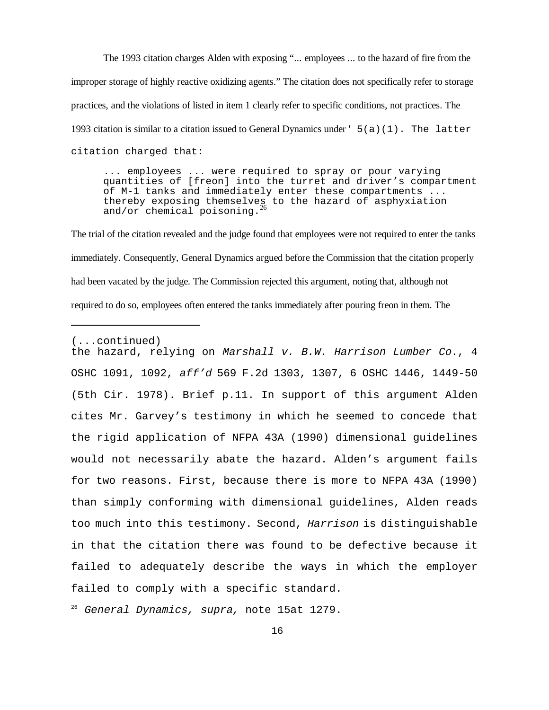The 1993 citation charges Alden with exposing "... employees ... to the hazard of fire from the improper storage of highly reactive oxidizing agents." The citation does not specifically refer to storage practices, and the violations of listed in item 1 clearly refer to specific conditions, not practices. The 1993 citation is similar to a citation issued to General Dynamics under **'** 5(a)(1). The latter citation charged that:

... employees ... were required to spray or pour varying quantities of [freon] into the turret and driver's compartment of M-1 tanks and immediately enter these compartments ... thereby exposing themselves to the hazard of asphyxiation and/or chemical poisoning.

The trial of the citation revealed and the judge found that employees were not required to enter the tanks immediately. Consequently, General Dynamics argued before the Commission that the citation properly had been vacated by the judge. The Commission rejected this argument, noting that, although not required to do so, employees often entered the tanks immediately after pouring freon in them. The

the hazard, relying on Marshall v. B.W. Harrison Lumber Co., 4 OSHC 1091, 1092, aff'd 569 F.2d 1303, 1307, 6 OSHC 1446, 1449-50 (5th Cir. 1978). Brief p.11. In support of this argument Alden cites Mr. Garvey's testimony in which he seemed to concede that the rigid application of NFPA 43A (1990) dimensional guidelines would not necessarily abate the hazard. Alden's argument fails for two reasons. First, because there is more to NFPA 43A (1990) than simply conforming with dimensional guidelines, Alden reads too much into this testimony. Second, Harrison is distinguishable in that the citation there was found to be defective because it failed to adequately describe the ways in which the employer failed to comply with a specific standard.

<sup>26</sup> General Dynamics, supra, note 15at 1279.

<sup>(...</sup>continued)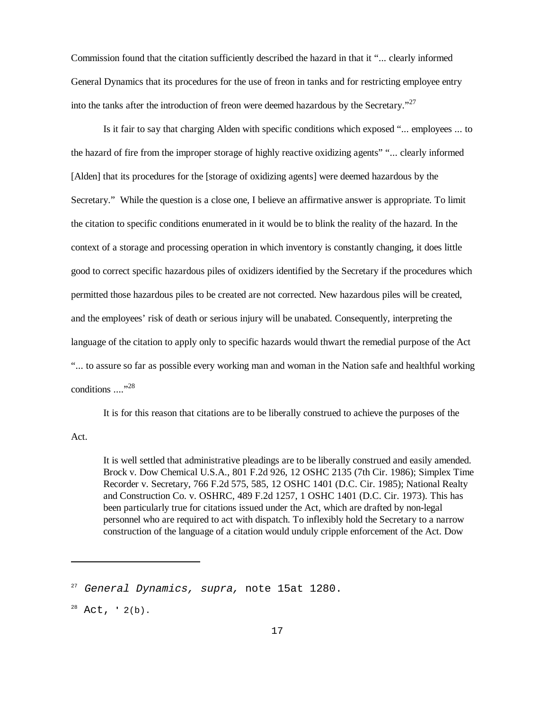Commission found that the citation sufficiently described the hazard in that it "... clearly informed General Dynamics that its procedures for the use of freon in tanks and for restricting employee entry into the tanks after the introduction of freon were deemed hazardous by the Secretary."<sup>27</sup>

Is it fair to say that charging Alden with specific conditions which exposed "... employees ... to the hazard of fire from the improper storage of highly reactive oxidizing agents" "... clearly informed [Alden] that its procedures for the [storage of oxidizing agents] were deemed hazardous by the Secretary." While the question is a close one, I believe an affirmative answer is appropriate. To limit the citation to specific conditions enumerated in it would be to blink the reality of the hazard. In the context of a storage and processing operation in which inventory is constantly changing, it does little good to correct specific hazardous piles of oxidizers identified by the Secretary if the procedures which permitted those hazardous piles to be created are not corrected. New hazardous piles will be created, and the employees' risk of death or serious injury will be unabated. Consequently, interpreting the language of the citation to apply only to specific hazards would thwart the remedial purpose of the Act "... to assure so far as possible every working man and woman in the Nation safe and healthful working conditions ...."<sup>28</sup>

It is for this reason that citations are to be liberally construed to achieve the purposes of the

Act.

It is well settled that administrative pleadings are to be liberally construed and easily amended. Brock v. Dow Chemical U.S.A., 801 F.2d 926, 12 OSHC 2135 (7th Cir. 1986); Simplex Time Recorder v. Secretary, 766 F.2d 575, 585, 12 OSHC 1401 (D.C. Cir. 1985); National Realty and Construction Co. v. OSHRC, 489 F.2d 1257, 1 OSHC 1401 (D.C. Cir. 1973). This has been particularly true for citations issued under the Act, which are drafted by non-legal personnel who are required to act with dispatch. To inflexibly hold the Secretary to a narrow construction of the language of a citation would unduly cripple enforcement of the Act. Dow

<sup>&</sup>lt;sup>27</sup> General Dynamics, supra, note 15at 1280.

<sup>28</sup> Act, **'** 2(b).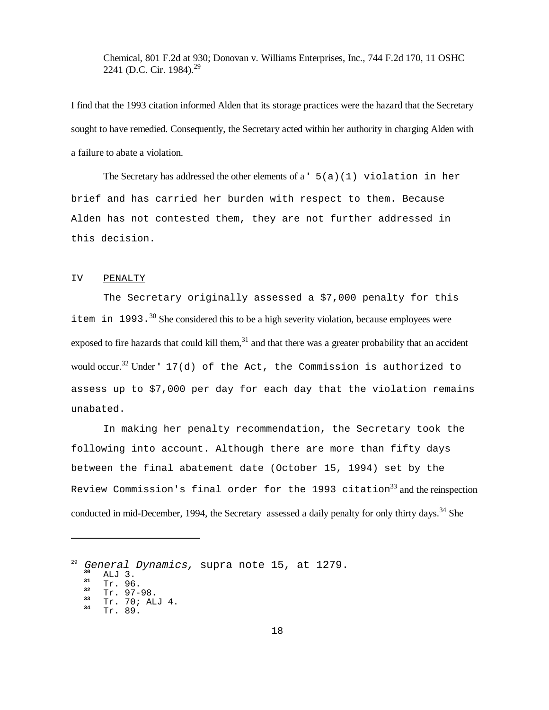Chemical, 801 F.2d at 930; Donovan v. Williams Enterprises, Inc., 744 F.2d 170, 11 OSHC 2241 (D.C. Cir. 1984).<sup>29</sup>

I find that the 1993 citation informed Alden that its storage practices were the hazard that the Secretary sought to have remedied. Consequently, the Secretary acted within her authority in charging Alden with a failure to abate a violation.

The Secretary has addressed the other elements of a **'** 5(a)(1) violation in her brief and has carried her burden with respect to them. Because Alden has not contested them, they are not further addressed in this decision.

#### IV PENALTY

The Secretary originally assessed a \$7,000 penalty for this item in 1993.<sup>30</sup> She considered this to be a high severity violation, because employees were exposed to fire hazards that could kill them, $31$  and that there was a greater probability that an accident would occur.32 Under **'** 17(d) of the Act, the Commission is authorized to assess up to \$7,000 per day for each day that the violation remains unabated.

In making her penalty recommendation, the Secretary took the following into account. Although there are more than fifty days between the final abatement date (October 15, 1994) set by the Review Commission's final order for the 1993 citation<sup>33</sup> and the reinspection conducted in mid-December, 1994, the Secretary assessed a daily penalty for only thirty days.<sup>34</sup> She

<sup>&</sup>lt;sup>29</sup> General Dynamics, supra note 15, at 1279.<br><sup>30</sup> ALJ 3.<br><sup>31</sup> Tr. 96.<br><sup>32</sup> Tr. 97-98.<br><sup>33</sup> Tr. 70; ALJ 4.<br><sup>34</sup> Tr. 89.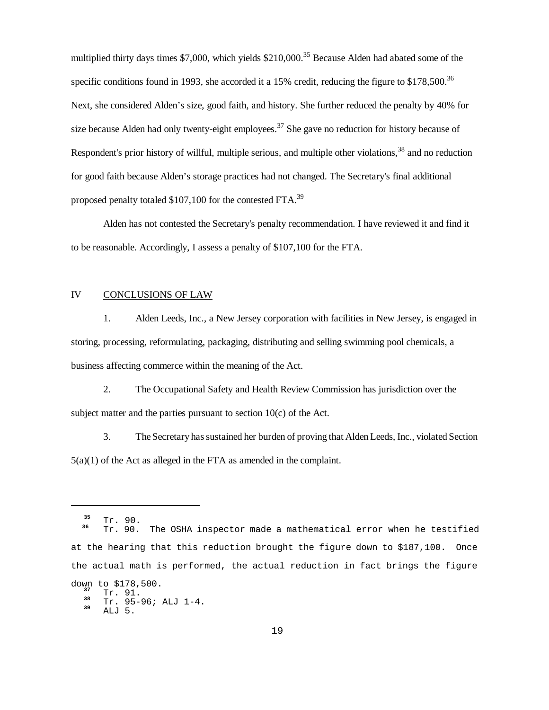multiplied thirty days times \$7,000, which yields \$210,000.<sup>35</sup> Because Alden had abated some of the specific conditions found in 1993, she accorded it a 15% credit, reducing the figure to  $$178,500$ .<sup>36</sup> Next, she considered Alden's size, good faith, and history. She further reduced the penalty by 40% for size because Alden had only twenty-eight employees.<sup>37</sup> She gave no reduction for history because of Respondent's prior history of willful, multiple serious, and multiple other violations,<sup>38</sup> and no reduction for good faith because Alden's storage practices had not changed. The Secretary's final additional proposed penalty totaled \$107,100 for the contested FTA.<sup>39</sup>

Alden has not contested the Secretary's penalty recommendation. I have reviewed it and find it to be reasonable. Accordingly, I assess a penalty of \$107,100 for the FTA.

#### IV CONCLUSIONS OF LAW

1. Alden Leeds, Inc., a New Jersey corporation with facilities in New Jersey, is engaged in storing, processing, reformulating, packaging, distributing and selling swimming pool chemicals, a business affecting commerce within the meaning of the Act.

2. The Occupational Safety and Health Review Commission has jurisdiction over the subject matter and the parties pursuant to section 10(c) of the Act.

3. The Secretary has sustained her burden of proving that Alden Leeds, Inc., violated Section 5(a)(1) of the Act as alleged in the FTA as amended in the complaint.

**<sup>35</sup>** Tr. 90.**<sup>36</sup>** Tr. 90. The OSHA inspector made a mathematical error when he testified at the hearing that this reduction brought the figure down to \$187,100. Once the actual math is performed, the actual reduction in fact brings the figure down to  $$178,500.$ <br> $\text{Tr. } 91.$ 

<sup>38</sup> Tr. 95-96; ALJ 1-4.<br><sup>39</sup> ALJ 5.